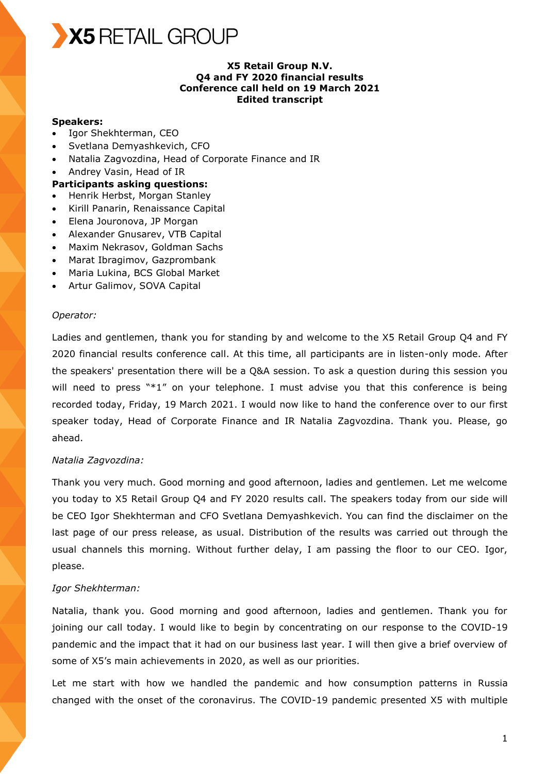

## **X5 Retail Group N.V. Q4 and FY 2020 financial results Conference call held on 19 March 2021 Edited transcript**

### **Speakers:**

- Igor Shekhterman, CEO
- Svetlana Demyashkevich, CFO
- Natalia Zagvozdina, Head of Corporate Finance and IR
- Andrey Vasin, Head of IR

## **Participants asking questions:**

- Henrik Herbst, Morgan Stanley
- Kirill Panarin, Renaissance Capital
- Elena Jouronova, JP Morgan
- Alexander Gnusarev, VTB Capital
- Maxim Nekrasov, Goldman Sachs
- Marat Ibragimov, Gazprombank
- Maria Lukina, BCS Global Market
- Artur Galimov, SOVA Capital

#### *Operator:*

Ladies and gentlemen, thank you for standing by and welcome to the X5 Retail Group Q4 and FY 2020 financial results conference call. At this time, all participants are in listen-only mode. After the speakers' presentation there will be a Q&A session. To ask a question during this session you will need to press  $**1"$  on your telephone. I must advise you that this conference is being recorded today, Friday, 19 March 2021. I would now like to hand the conference over to our first speaker today, Head of Corporate Finance and IR Natalia Zagvozdina. Thank you. Please, go ahead.

## *Natalia Zagvozdina:*

Thank you very much. Good morning and good afternoon, ladies and gentlemen. Let me welcome you today to X5 Retail Group Q4 and FY 2020 results call. The speakers today from our side will be CEO Igor Shekhterman and CFO Svetlana Demyashkevich. You can find the disclaimer on the last page of our press release, as usual. Distribution of the results was carried out through the usual channels this morning. Without further delay, I am passing the floor to our CEO. Igor, please.

## *Igor Shekhterman:*

Natalia, thank you. Good morning and good afternoon, ladies and gentlemen. Thank you for joining our call today. I would like to begin by concentrating on our response to the COVID-19 pandemic and the impact that it had on our business last year. I will then give a brief overview of some of X5's main achievements in 2020, as well as our priorities.

Let me start with how we handled the pandemic and how consumption patterns in Russia changed with the onset of the coronavirus. The COVID-19 pandemic presented X5 with multiple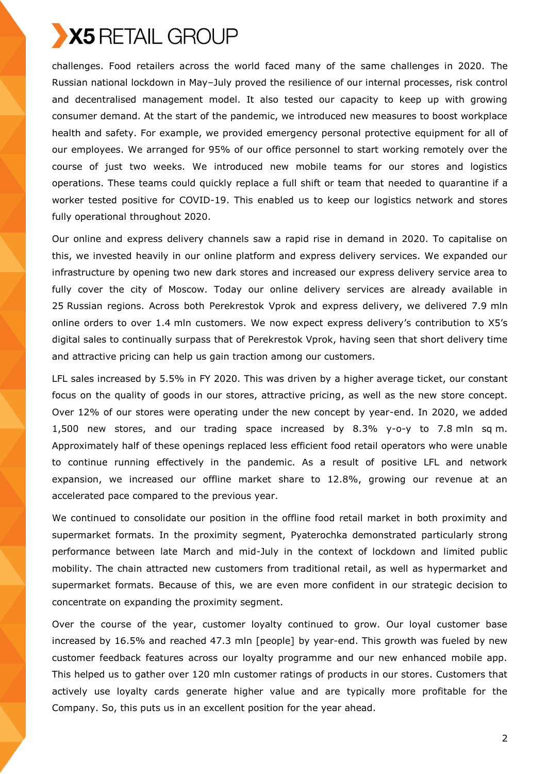

challenges. Food retailers across the world faced many of the same challenges in 2020. The Russian national lockdown in May–July proved the resilience of our internal processes, risk control and decentralised management model. It also tested our capacity to keep up with growing consumer demand. At the start of the pandemic, we introduced new measures to boost workplace health and safety. For example, we provided emergency personal protective equipment for all of our employees. We arranged for 95% of our office personnel to start working remotely over the course of just two weeks. We introduced new mobile teams for our stores and logistics operations. These teams could quickly replace a full shift or team that needed to quarantine if a worker tested positive for COVID-19. This enabled us to keep our logistics network and stores fully operational throughout 2020.

Our online and express delivery channels saw a rapid rise in demand in 2020. To capitalise on this, we invested heavily in our online platform and express delivery services. We expanded our infrastructure by opening two new dark stores and increased our express delivery service area to fully cover the city of Moscow. Today our online delivery services are already available in 25 Russian regions. Across both Perekrestok Vprok and express delivery, we delivered 7.9 mln online orders to over 1.4 mln customers. We now expect express delivery's contribution to X5's digital sales to continually surpass that of Perekrestok Vprok, having seen that short delivery time and attractive pricing can help us gain traction among our customers.

LFL sales increased by 5.5% in FY 2020. This was driven by a higher average ticket, our constant focus on the quality of goods in our stores, attractive pricing, as well as the new store concept. Over 12% of our stores were operating under the new concept by year-end. In 2020, we added 1,500 new stores, and our trading space increased by 8.3% y-o-y to 7.8 mln sq m. Approximately half of these openings replaced less efficient food retail operators who were unable to continue running effectively in the pandemic. As a result of positive LFL and network expansion, we increased our offline market share to 12.8%, growing our revenue at an accelerated pace compared to the previous year.

We continued to consolidate our position in the offline food retail market in both proximity and supermarket formats. In the proximity segment, Pyaterochka demonstrated particularly strong performance between late March and mid-July in the context of lockdown and limited public mobility. The chain attracted new customers from traditional retail, as well as hypermarket and supermarket formats. Because of this, we are even more confident in our strategic decision to concentrate on expanding the proximity segment.

Over the course of the year, customer loyalty continued to grow. Our loyal customer base increased by 16.5% and reached 47.3 mln [people] by year-end. This growth was fueled by new customer feedback features across our loyalty programme and our new enhanced mobile app. This helped us to gather over 120 mln customer ratings of products in our stores. Customers that actively use loyalty cards generate higher value and are typically more profitable for the Company. So, this puts us in an excellent position for the year ahead.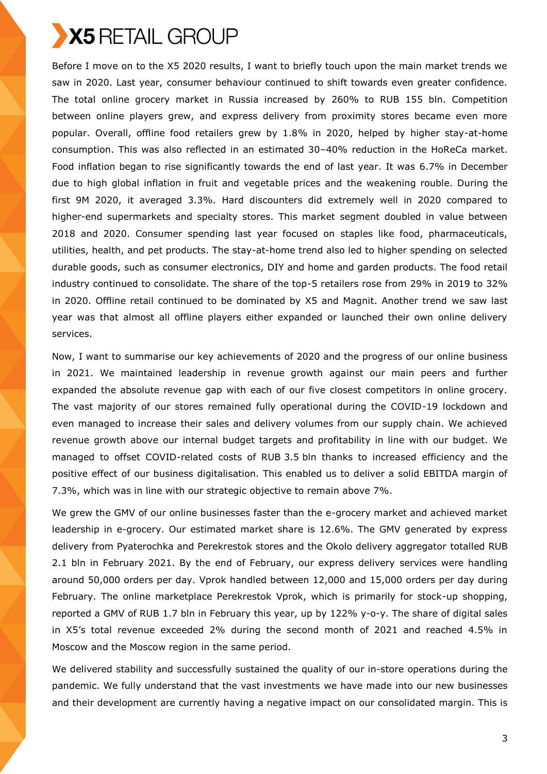Before I move on to the X5 2020 results, I want to briefly touch upon the main market trends we saw in 2020. Last year, consumer behaviour continued to shift towards even greater confidence. The total online grocery market in Russia increased by 260% to RUB 155 bln. Competition between online players grew, and express delivery from proximity stores became even more popular. Overall, offline food retailers grew by 1.8% in 2020, helped by higher stay-at-home consumption. This was also reflected in an estimated 30–40% reduction in the HoReCa market. Food inflation began to rise significantly towards the end of last year. It was 6.7% in December due to high global inflation in fruit and vegetable prices and the weakening rouble. During the first 9M 2020, it averaged 3.3%. Hard discounters did extremely well in 2020 compared to higher-end supermarkets and specialty stores. This market segment doubled in value between 2018 and 2020. Consumer spending last year focused on staples like food, pharmaceuticals, utilities, health, and pet products. The stay-at-home trend also led to higher spending on selected durable goods, such as consumer electronics, DIY and home and garden products. The food retail industry continued to consolidate. The share of the top-5 retailers rose from 29% in 2019 to 32% in 2020. Offline retail continued to be dominated by X5 and Magnit. Another trend we saw last year was that almost all offline players either expanded or launched their own online delivery services.

Now, I want to summarise our key achievements of 2020 and the progress of our online business in 2021. We maintained leadership in revenue growth against our main peers and further expanded the absolute revenue gap with each of our five closest competitors in online grocery. The vast majority of our stores remained fully operational during the COVID-19 lockdown and even managed to increase their sales and delivery volumes from our supply chain. We achieved revenue growth above our internal budget targets and profitability in line with our budget. We managed to offset COVID-related costs of RUB 3.5 bln thanks to increased efficiency and the positive effect of our business digitalisation. This enabled us to deliver a solid EBITDA margin of 7.3%, which was in line with our strategic objective to remain above 7%.

We grew the GMV of our online businesses faster than the e-grocery market and achieved market leadership in e-grocery. Our estimated market share is 12.6%. The GMV generated by express delivery from Pyaterochka and Perekrestok stores and the Okolo delivery aggregator totalled RUB 2.1 bln in February 2021. By the end of February, our express delivery services were handling around 50,000 orders per day. Vprok handled between 12,000 and 15,000 orders per day during February. The online marketplace Perekrestok Vprok, which is primarily for stock-up shopping, reported a GMV of RUB 1.7 bln in February this year, up by 122% y-o-y. The share of digital sales in X5's total revenue exceeded 2% during the second month of 2021 and reached 4.5% in Moscow and the Moscow region in the same period.

We delivered stability and successfully sustained the quality of our in-store operations during the pandemic. We fully understand that the vast investments we have made into our new businesses and their development are currently having a negative impact on our consolidated margin. This is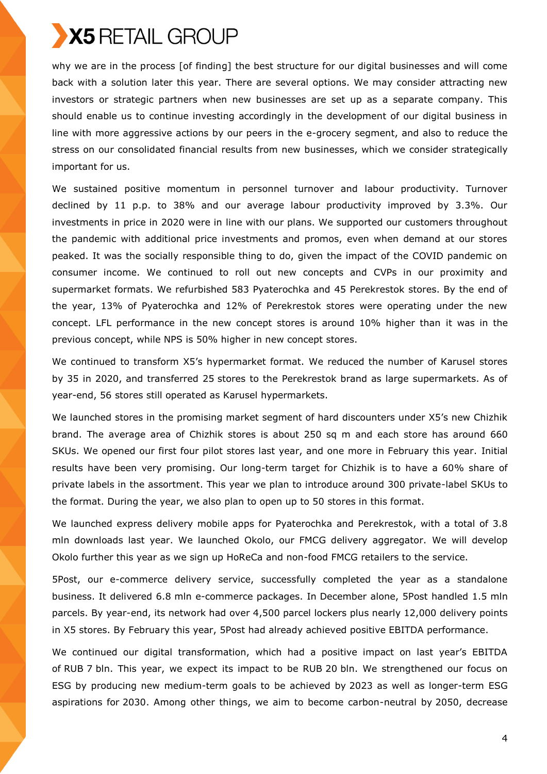why we are in the process [of finding] the best structure for our digital businesses and will come back with a solution later this year. There are several options. We may consider attracting new investors or strategic partners when new businesses are set up as a separate company. This should enable us to continue investing accordingly in the development of our digital business in line with more aggressive actions by our peers in the e-grocery segment, and also to reduce the stress on our consolidated financial results from new businesses, which we consider strategically important for us.

We sustained positive momentum in personnel turnover and labour productivity. Turnover declined by 11 p.p. to 38% and our average labour productivity improved by 3.3%. Our investments in price in 2020 were in line with our plans. We supported our customers throughout the pandemic with additional price investments and promos, even when demand at our stores peaked. It was the socially responsible thing to do, given the impact of the COVID pandemic on consumer income. We continued to roll out new concepts and CVPs in our proximity and supermarket formats. We refurbished 583 Pyaterochka and 45 Perekrestok stores. By the end of the year, 13% of Pyaterochka and 12% of Perekrestok stores were operating under the new concept. LFL performance in the new concept stores is around 10% higher than it was in the previous concept, while NPS is 50% higher in new concept stores.

We continued to transform X5's hypermarket format. We reduced the number of Karusel stores by 35 in 2020, and transferred 25 stores to the Perekrestok brand as large supermarkets. As of year-end, 56 stores still operated as Karusel hypermarkets.

We launched stores in the promising market segment of hard discounters under X5's new Chizhik brand. The average area of Chizhik stores is about 250 sq m and each store has around 660 SKUs. We opened our first four pilot stores last year, and one more in February this year. Initial results have been very promising. Our long-term target for Chizhik is to have a 60% share of private labels in the assortment. This year we plan to introduce around 300 private-label SKUs to the format. During the year, we also plan to open up to 50 stores in this format.

We launched express delivery mobile apps for Pyaterochka and Perekrestok, with a total of 3.8 mln downloads last year. We launched Okolo, our FMCG delivery aggregator. We will develop Okolo further this year as we sign up HoReCa and non-food FMCG retailers to the service.

5Post, our e-commerce delivery service, successfully completed the year as a standalone business. It delivered 6.8 mln e-commerce packages. In December alone, 5Post handled 1.5 mln parcels. By year-end, its network had over 4,500 parcel lockers plus nearly 12,000 delivery points in X5 stores. By February this year, 5Post had already achieved positive EBITDA performance.

We continued our digital transformation, which had a positive impact on last year's EBITDA of RUB 7 bln. This year, we expect its impact to be RUB 20 bln. We strengthened our focus on ESG by producing new medium-term goals to be achieved by 2023 as well as longer-term ESG aspirations for 2030. Among other things, we aim to become carbon-neutral by 2050, decrease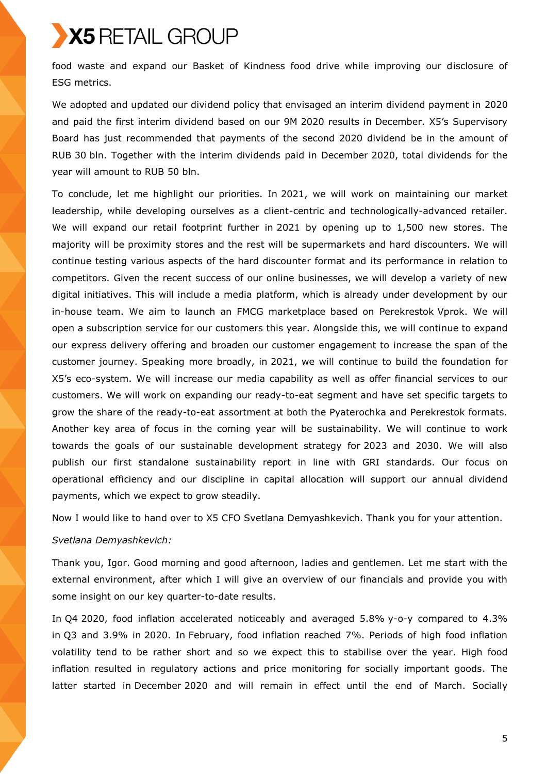food waste and expand our Basket of Kindness food drive while improving our disclosure of ESG metrics.

We adopted and updated our dividend policy that envisaged an interim dividend payment in 2020 and paid the first interim dividend based on our 9M 2020 results in December. X5's Supervisory Board has just recommended that payments of the second 2020 dividend be in the amount of RUB 30 bln. Together with the interim dividends paid in December 2020, total dividends for the year will amount to RUB 50 bln.

To conclude, let me highlight our priorities. In 2021, we will work on maintaining our market leadership, while developing ourselves as a client-centric and technologically-advanced retailer. We will expand our retail footprint further in 2021 by opening up to 1,500 new stores. The majority will be proximity stores and the rest will be supermarkets and hard discounters. We will continue testing various aspects of the hard discounter format and its performance in relation to competitors. Given the recent success of our online businesses, we will develop a variety of new digital initiatives. This will include a media platform, which is already under development by our in-house team. We aim to launch an FMCG marketplace based on Perekrestok Vprok. We will open a subscription service for our customers this year. Alongside this, we will continue to expand our express delivery offering and broaden our customer engagement to increase the span of the customer journey. Speaking more broadly, in 2021, we will continue to build the foundation for X5's eco-system. We will increase our media capability as well as offer financial services to our customers. We will work on expanding our ready-to-eat segment and have set specific targets to grow the share of the ready-to-eat assortment at both the Pyaterochka and Perekrestok formats. Another key area of focus in the coming year will be sustainability. We will continue to work towards the goals of our sustainable development strategy for 2023 and 2030. We will also publish our first standalone sustainability report in line with GRI standards. Our focus on operational efficiency and our discipline in capital allocation will support our annual dividend payments, which we expect to grow steadily.

Now I would like to hand over to X5 CFO Svetlana Demyashkevich. Thank you for your attention.

## *Svetlana Demyashkevich:*

Thank you, Igor. Good morning and good afternoon, ladies and gentlemen. Let me start with the external environment, after which I will give an overview of our financials and provide you with some insight on our key quarter-to-date results.

In Q4 2020, food inflation accelerated noticeably and averaged 5.8% y-o-y compared to 4.3% in Q3 and 3.9% in 2020. In February, food inflation reached 7%. Periods of high food inflation volatility tend to be rather short and so we expect this to stabilise over the year. High food inflation resulted in regulatory actions and price monitoring for socially important goods. The latter started in December 2020 and will remain in effect until the end of March. Socially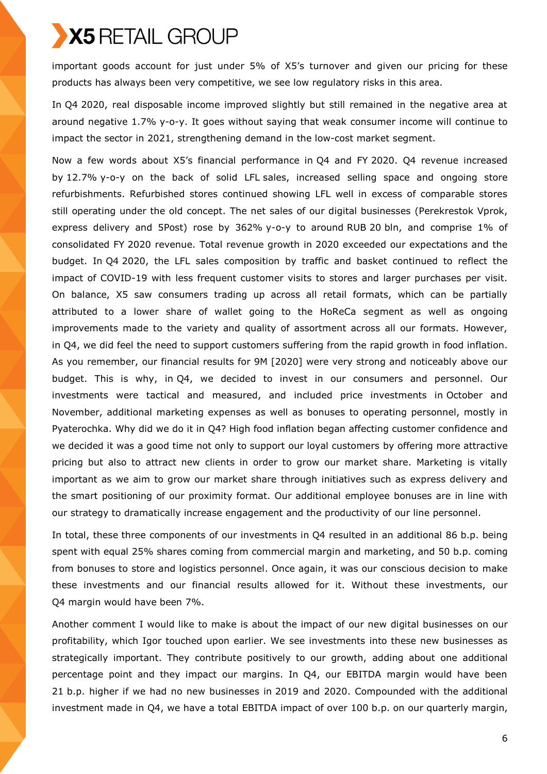important goods account for just under 5% of X5's turnover and given our pricing for these products has always been very competitive, we see low regulatory risks in this area.

In Q4 2020, real disposable income improved slightly but still remained in the negative area at around negative 1.7% y-o-y. It goes without saying that weak consumer income will continue to impact the sector in 2021, strengthening demand in the low-cost market segment.

Now a few words about X5's financial performance in Q4 and FY 2020. Q4 revenue increased by 12.7% y-o-y on the back of solid LFL sales, increased selling space and ongoing store refurbishments. Refurbished stores continued showing LFL well in excess of comparable stores still operating under the old concept. The net sales of our digital businesses (Perekrestok Vprok, express delivery and 5Post) rose by 362% y-o-y to around RUB 20 bln, and comprise 1% of consolidated FY 2020 revenue. Total revenue growth in 2020 exceeded our expectations and the budget. In Q4 2020, the LFL sales composition by traffic and basket continued to reflect the impact of COVID-19 with less frequent customer visits to stores and larger purchases per visit. On balance, X5 saw consumers trading up across all retail formats, which can be partially attributed to a lower share of wallet going to the HoReCa segment as well as ongoing improvements made to the variety and quality of assortment across all our formats. However, in Q4, we did feel the need to support customers suffering from the rapid growth in food inflation. As you remember, our financial results for 9M [2020] were very strong and noticeably above our budget. This is why, in Q4, we decided to invest in our consumers and personnel. Our investments were tactical and measured, and included price investments in October and November, additional marketing expenses as well as bonuses to operating personnel, mostly in Pyaterochka. Why did we do it in Q4? High food inflation began affecting customer confidence and we decided it was a good time not only to support our loyal customers by offering more attractive pricing but also to attract new clients in order to grow our market share. Marketing is vitally important as we aim to grow our market share through initiatives such as express delivery and the smart positioning of our proximity format. Our additional employee bonuses are in line with our strategy to dramatically increase engagement and the productivity of our line personnel.

In total, these three components of our investments in Q4 resulted in an additional 86 b.p. being spent with equal 25% shares coming from commercial margin and marketing, and 50 b.p. coming from bonuses to store and logistics personnel. Once again, it was our conscious decision to make these investments and our financial results allowed for it. Without these investments, our Q4 margin would have been 7%.

Another comment I would like to make is about the impact of our new digital businesses on our profitability, which Igor touched upon earlier. We see investments into these new businesses as strategically important. They contribute positively to our growth, adding about one additional percentage point and they impact our margins. In Q4, our EBITDA margin would have been 21 b.p. higher if we had no new businesses in 2019 and 2020. Compounded with the additional investment made in Q4, we have a total EBITDA impact of over 100 b.p. on our quarterly margin,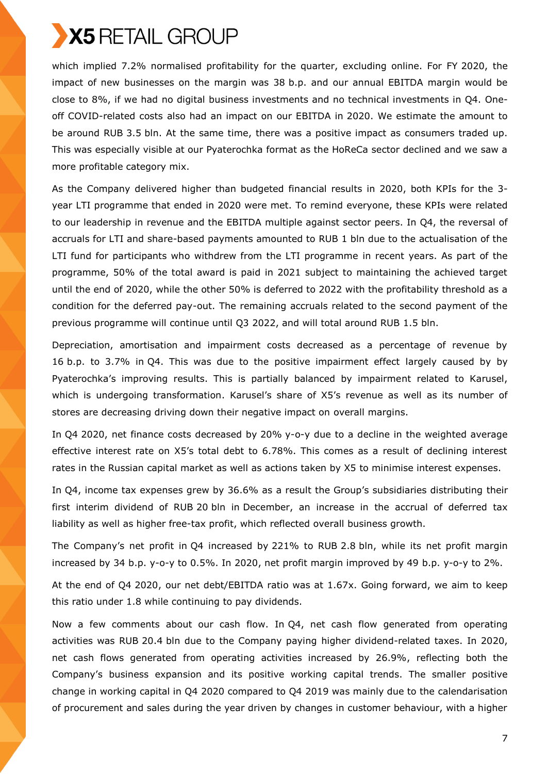

which implied 7.2% normalised profitability for the quarter, excluding online. For FY 2020, the impact of new businesses on the margin was 38 b.p. and our annual EBITDA margin would be close to 8%, if we had no digital business investments and no technical investments in Q4. Oneoff COVID-related costs also had an impact on our EBITDA in 2020. We estimate the amount to be around RUB 3.5 bln. At the same time, there was a positive impact as consumers traded up. This was especially visible at our Pyaterochka format as the HoReCa sector declined and we saw a more profitable category mix.

As the Company delivered higher than budgeted financial results in 2020, both KPIs for the 3 year LTI programme that ended in 2020 were met. To remind everyone, these KPIs were related to our leadership in revenue and the EBITDA multiple against sector peers. In Q4, the reversal of accruals for LTI and share-based payments amounted to RUB 1 bln due to the actualisation of the LTI fund for participants who withdrew from the LTI programme in recent years. As part of the programme, 50% of the total award is paid in 2021 subject to maintaining the achieved target until the end of 2020, while the other 50% is deferred to 2022 with the profitability threshold as a condition for the deferred pay-out. The remaining accruals related to the second payment of the previous programme will continue until Q3 2022, and will total around RUB 1.5 bln.

Depreciation, amortisation and impairment costs decreased as a percentage of revenue by 16 b.p. to 3.7% in Q4. This was due to the positive impairment effect largely caused by by Pyaterochka's improving results. This is partially balanced by impairment related to Karusel, which is undergoing transformation. Karusel's share of X5's revenue as well as its number of stores are decreasing driving down their negative impact on overall margins.

In Q4 2020, net finance costs decreased by 20% y-o-y due to a decline in the weighted average effective interest rate on X5's total debt to 6.78%. This comes as a result of declining interest rates in the Russian capital market as well as actions taken by X5 to minimise interest expenses.

In Q4, income tax expenses grew by 36.6% as a result the Group's subsidiaries distributing their first interim dividend of RUB 20 bln in December, an increase in the accrual of deferred tax liability as well as higher free-tax profit, which reflected overall business growth.

The Company's net profit in Q4 increased by 221% to RUB 2.8 bln, while its net profit margin increased by 34 b.p. y-o-y to 0.5%. In 2020, net profit margin improved by 49 b.p. y-o-y to 2%.

At the end of Q4 2020, our net debt/EBITDA ratio was at 1.67x. Going forward, we aim to keep this ratio under 1.8 while continuing to pay dividends.

Now a few comments about our cash flow. In Q4, net cash flow generated from operating activities was RUB 20.4 bln due to the Company paying higher dividend-related taxes. In 2020, net cash flows generated from operating activities increased by 26.9%, reflecting both the Company's business expansion and its positive working capital trends. The smaller positive change in working capital in Q4 2020 compared to Q4 2019 was mainly due to the calendarisation of procurement and sales during the year driven by changes in customer behaviour, with a higher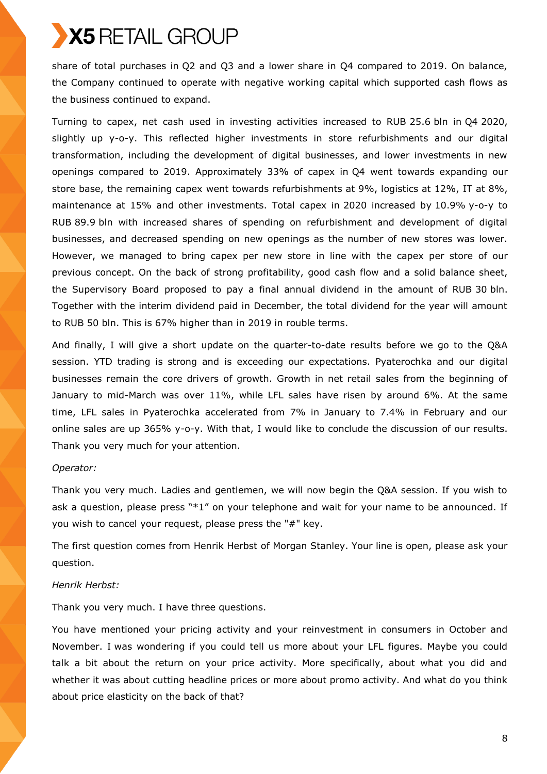share of total purchases in Q2 and Q3 and a lower share in Q4 compared to 2019. On balance, the Company continued to operate with negative working capital which supported cash flows as the business continued to expand.

Turning to capex, net cash used in investing activities increased to RUB 25.6 bln in Q4 2020, slightly up y-o-y. This reflected higher investments in store refurbishments and our digital transformation, including the development of digital businesses, and lower investments in new openings compared to 2019. Approximately 33% of capex in Q4 went towards expanding our store base, the remaining capex went towards refurbishments at 9%, logistics at 12%, IT at 8%, maintenance at 15% and other investments. Total capex in 2020 increased by 10.9% y-o-y to RUB 89.9 bln with increased shares of spending on refurbishment and development of digital businesses, and decreased spending on new openings as the number of new stores was lower. However, we managed to bring capex per new store in line with the capex per store of our previous concept. On the back of strong profitability, good cash flow and a solid balance sheet, the Supervisory Board proposed to pay a final annual dividend in the amount of RUB 30 bln. Together with the interim dividend paid in December, the total dividend for the year will amount to RUB 50 bln. This is 67% higher than in 2019 in rouble terms.

And finally, I will give a short update on the quarter-to-date results before we go to the Q&A session. YTD trading is strong and is exceeding our expectations. Pyaterochka and our digital businesses remain the core drivers of growth. Growth in net retail sales from the beginning of January to mid-March was over 11%, while LFL sales have risen by around 6%. At the same time, LFL sales in Pyaterochka accelerated from 7% in January to 7.4% in February and our online sales are up 365% y-o-y. With that, I would like to conclude the discussion of our results. Thank you very much for your attention.

# *Operator:*

Thank you very much. Ladies and gentlemen, we will now begin the Q&A session. If you wish to ask a question, please press "\*1" on your telephone and wait for your name to be announced. If you wish to cancel your request, please press the "#" key.

The first question comes from Henrik Herbst of Morgan Stanley. Your line is open, please ask your question.

## *Henrik Herbst:*

Thank you very much. I have three questions.

You have mentioned your pricing activity and your reinvestment in consumers in October and November. I was wondering if you could tell us more about your LFL figures. Maybe you could talk a bit about the return on your price activity. More specifically, about what you did and whether it was about cutting headline prices or more about promo activity. And what do you think about price elasticity on the back of that?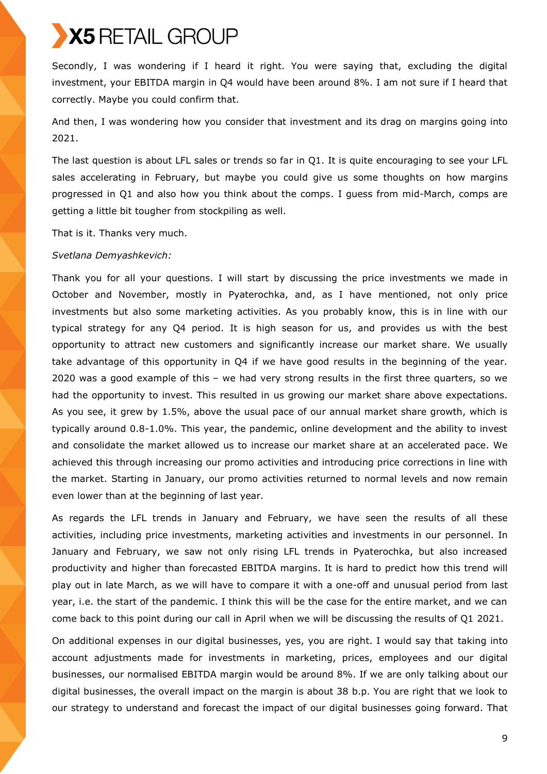Secondly, I was wondering if I heard it right. You were saying that, excluding the digital investment, your EBITDA margin in Q4 would have been around 8%. I am not sure if I heard that correctly. Maybe you could confirm that.

And then, I was wondering how you consider that investment and its drag on margins going into 2021.

The last question is about LFL sales or trends so far in Q1. It is quite encouraging to see your LFL sales accelerating in February, but maybe you could give us some thoughts on how margins progressed in Q1 and also how you think about the comps. I guess from mid-March, comps are getting a little bit tougher from stockpiling as well.

That is it. Thanks very much.

# *Svetlana Demyashkevich:*

Thank you for all your questions. I will start by discussing the price investments we made in October and November, mostly in Pyaterochka, and, as I have mentioned, not only price investments but also some marketing activities. As you probably know, this is in line with our typical strategy for any Q4 period. It is high season for us, and provides us with the best opportunity to attract new customers and significantly increase our market share. We usually take advantage of this opportunity in Q4 if we have good results in the beginning of the year. 2020 was a good example of this – we had very strong results in the first three quarters, so we had the opportunity to invest. This resulted in us growing our market share above expectations. As you see, it grew by 1.5%, above the usual pace of our annual market share growth, which is typically around 0.8-1.0%. This year, the pandemic, online development and the ability to invest and consolidate the market allowed us to increase our market share at an accelerated pace. We achieved this through increasing our promo activities and introducing price corrections in line with the market. Starting in January, our promo activities returned to normal levels and now remain even lower than at the beginning of last year.

As regards the LFL trends in January and February, we have seen the results of all these activities, including price investments, marketing activities and investments in our personnel. In January and February, we saw not only rising LFL trends in Pyaterochka, but also increased productivity and higher than forecasted EBITDA margins. It is hard to predict how this trend will play out in late March, as we will have to compare it with a one-off and unusual period from last year, i.e. the start of the pandemic. I think this will be the case for the entire market, and we can come back to this point during our call in April when we will be discussing the results of Q1 2021.

On additional expenses in our digital businesses, yes, you are right. I would say that taking into account adjustments made for investments in marketing, prices, employees and our digital businesses, our normalised EBITDA margin would be around 8%. If we are only talking about our digital businesses, the overall impact on the margin is about 38 b.p. You are right that we look to our strategy to understand and forecast the impact of our digital businesses going forward. That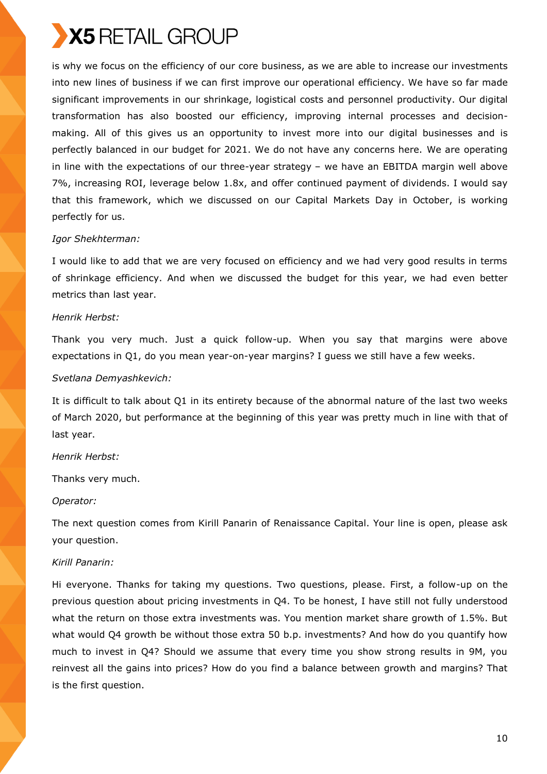is why we focus on the efficiency of our core business, as we are able to increase our investments into new lines of business if we can first improve our operational efficiency. We have so far made significant improvements in our shrinkage, logistical costs and personnel productivity. Our digital transformation has also boosted our efficiency, improving internal processes and decisionmaking. All of this gives us an opportunity to invest more into our digital businesses and is perfectly balanced in our budget for 2021. We do not have any concerns here. We are operating in line with the expectations of our three-year strategy – we have an EBITDA margin well above 7%, increasing ROI, leverage below 1.8x, and offer continued payment of dividends. I would say that this framework, which we discussed on our Capital Markets Day in October, is working perfectly for us.

# *Igor Shekhterman:*

I would like to add that we are very focused on efficiency and we had very good results in terms of shrinkage efficiency. And when we discussed the budget for this year, we had even better metrics than last year.

## *Henrik Herbst:*

Thank you very much. Just a quick follow-up. When you say that margins were above expectations in Q1, do you mean year-on-year margins? I guess we still have a few weeks.

# *Svetlana Demyashkevich:*

It is difficult to talk about Q1 in its entirety because of the abnormal nature of the last two weeks of March 2020, but performance at the beginning of this year was pretty much in line with that of last year.

# *Henrik Herbst:*

Thanks very much.

## *Operator:*

The next question comes from Kirill Panarin of Renaissance Capital. Your line is open, please ask your question.

# *Kirill Panarin:*

Hi everyone. Thanks for taking my questions. Two questions, please. First, a follow-up on the previous question about pricing investments in Q4. To be honest, I have still not fully understood what the return on those extra investments was. You mention market share growth of 1.5%. But what would Q4 growth be without those extra 50 b.p. investments? And how do you quantify how much to invest in Q4? Should we assume that every time you show strong results in 9M, you reinvest all the gains into prices? How do you find a balance between growth and margins? That is the first question.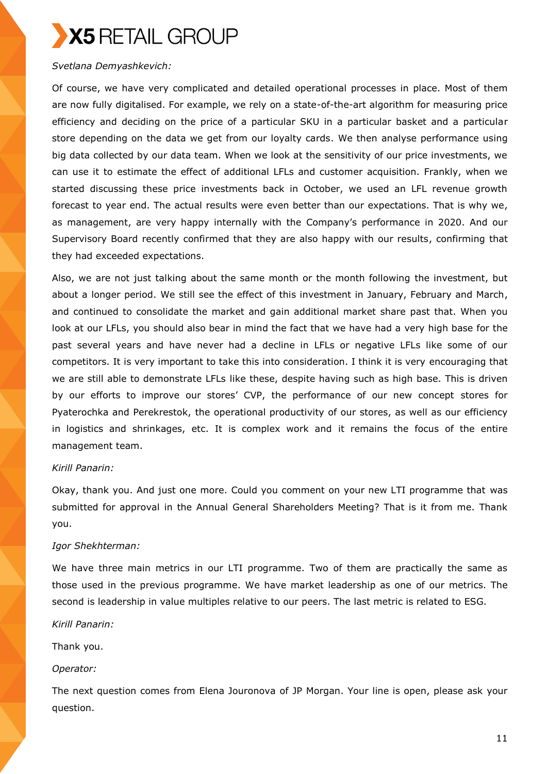

## *Svetlana Demyashkevich:*

Of course, we have very complicated and detailed operational processes in place. Most of them are now fully digitalised. For example, we rely on a state-of-the-art algorithm for measuring price efficiency and deciding on the price of a particular SKU in a particular basket and a particular store depending on the data we get from our loyalty cards. We then analyse performance using big data collected by our data team. When we look at the sensitivity of our price investments, we can use it to estimate the effect of additional LFLs and customer acquisition. Frankly, when we started discussing these price investments back in October, we used an LFL revenue growth forecast to year end. The actual results were even better than our expectations. That is why we, as management, are very happy internally with the Company's performance in 2020. And our Supervisory Board recently confirmed that they are also happy with our results, confirming that they had exceeded expectations.

Also, we are not just talking about the same month or the month following the investment, but about a longer period. We still see the effect of this investment in January, February and March, and continued to consolidate the market and gain additional market share past that. When you look at our LFLs, you should also bear in mind the fact that we have had a very high base for the past several years and have never had a decline in LFLs or negative LFLs like some of our competitors. It is very important to take this into consideration. I think it is very encouraging that we are still able to demonstrate LFLs like these, despite having such as high base. This is driven by our efforts to improve our stores' CVP, the performance of our new concept stores for Pyaterochka and Perekrestok, the operational productivity of our stores, as well as our efficiency in logistics and shrinkages, etc. It is complex work and it remains the focus of the entire management team.

### *Kirill Panarin:*

Okay, thank you. And just one more. Could you comment on your new LTI programme that was submitted for approval in the Annual General Shareholders Meeting? That is it from me. Thank you.

#### *Igor Shekhterman:*

We have three main metrics in our LTI programme. Two of them are practically the same as those used in the previous programme. We have market leadership as one of our metrics. The second is leadership in value multiples relative to our peers. The last metric is related to ESG.

*Kirill Panarin:* 

Thank you.

#### *Operator:*

The next question comes from Elena Jouronova of JP Morgan. Your line is open, please ask your question.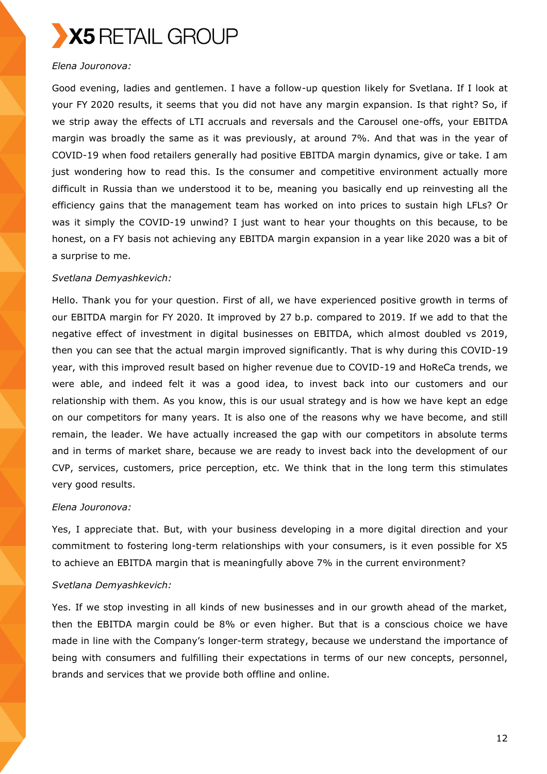# *Elena Jouronova:*

Good evening, ladies and gentlemen. I have a follow-up question likely for Svetlana. If I look at your FY 2020 results, it seems that you did not have any margin expansion. Is that right? So, if we strip away the effects of LTI accruals and reversals and the Carousel one-offs, your EBITDA margin was broadly the same as it was previously, at around 7%. And that was in the year of COVID-19 when food retailers generally had positive EBITDA margin dynamics, give or take. I am just wondering how to read this. Is the consumer and competitive environment actually more difficult in Russia than we understood it to be, meaning you basically end up reinvesting all the efficiency gains that the management team has worked on into prices to sustain high LFLs? Or was it simply the COVID-19 unwind? I just want to hear your thoughts on this because, to be honest, on a FY basis not achieving any EBITDA margin expansion in a year like 2020 was a bit of a surprise to me.

# *Svetlana Demyashkevich:*

Hello. Thank you for your question. First of all, we have experienced positive growth in terms of our EBITDA margin for FY 2020. It improved by 27 b.p. compared to 2019. If we add to that the negative effect of investment in digital businesses on EBITDA, which almost doubled vs 2019, then you can see that the actual margin improved significantly. That is why during this COVID-19 year, with this improved result based on higher revenue due to COVID-19 and HoReCa trends, we were able, and indeed felt it was a good idea, to invest back into our customers and our relationship with them. As you know, this is our usual strategy and is how we have kept an edge on our competitors for many years. It is also one of the reasons why we have become, and still remain, the leader. We have actually increased the gap with our competitors in absolute terms and in terms of market share, because we are ready to invest back into the development of our CVP, services, customers, price perception, etc. We think that in the long term this stimulates very good results.

## *Elena Jouronova:*

Yes, I appreciate that. But, with your business developing in a more digital direction and your commitment to fostering long-term relationships with your consumers, is it even possible for X5 to achieve an EBITDA margin that is meaningfully above 7% in the current environment?

# *Svetlana Demyashkevich:*

Yes. If we stop investing in all kinds of new businesses and in our growth ahead of the market, then the EBITDA margin could be 8% or even higher. But that is a conscious choice we have made in line with the Company's longer-term strategy, because we understand the importance of being with consumers and fulfilling their expectations in terms of our new concepts, personnel, brands and services that we provide both offline and online.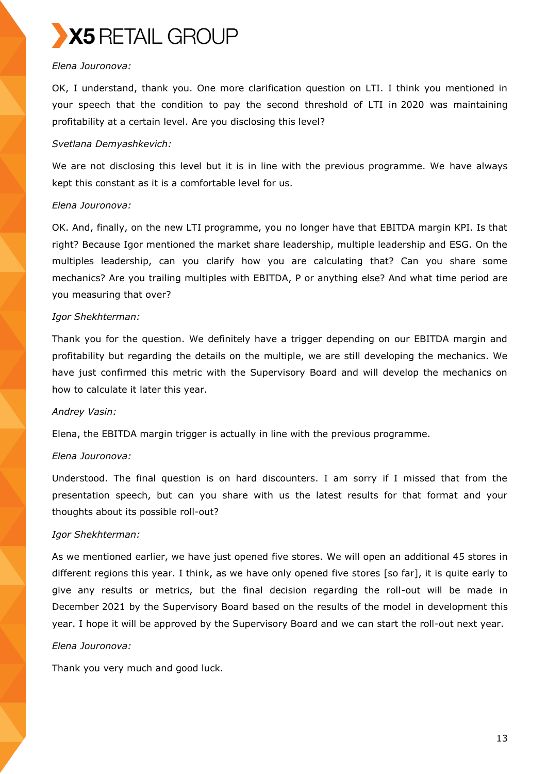

#### *Elena Jouronova:*

OK, I understand, thank you. One more clarification question on LTI. I think you mentioned in your speech that the condition to pay the second threshold of LTI in 2020 was maintaining profitability at a certain level. Are you disclosing this level?

## *Svetlana Demyashkevich:*

We are not disclosing this level but it is in line with the previous programme. We have always kept this constant as it is a comfortable level for us.

# *Elena Jouronova:*

OK. And, finally, on the new LTI programme, you no longer have that EBITDA margin KPI. Is that right? Because Igor mentioned the market share leadership, multiple leadership and ESG. On the multiples leadership, can you clarify how you are calculating that? Can you share some mechanics? Are you trailing multiples with EBITDA, P or anything else? And what time period are you measuring that over?

# *Igor Shekhterman:*

Thank you for the question. We definitely have a trigger depending on our EBITDA margin and profitability but regarding the details on the multiple, we are still developing the mechanics. We have just confirmed this metric with the Supervisory Board and will develop the mechanics on how to calculate it later this year.

## *Andrey Vasin:*

Elena, the EBITDA margin trigger is actually in line with the previous programme.

## *Elena Jouronova:*

Understood. The final question is on hard discounters. I am sorry if I missed that from the presentation speech, but can you share with us the latest results for that format and your thoughts about its possible roll-out?

# *Igor Shekhterman:*

As we mentioned earlier, we have just opened five stores. We will open an additional 45 stores in different regions this year. I think, as we have only opened five stores [so far], it is quite early to give any results or metrics, but the final decision regarding the roll-out will be made in December 2021 by the Supervisory Board based on the results of the model in development this year. I hope it will be approved by the Supervisory Board and we can start the roll-out next year.

## *Elena Jouronova:*

Thank you very much and good luck.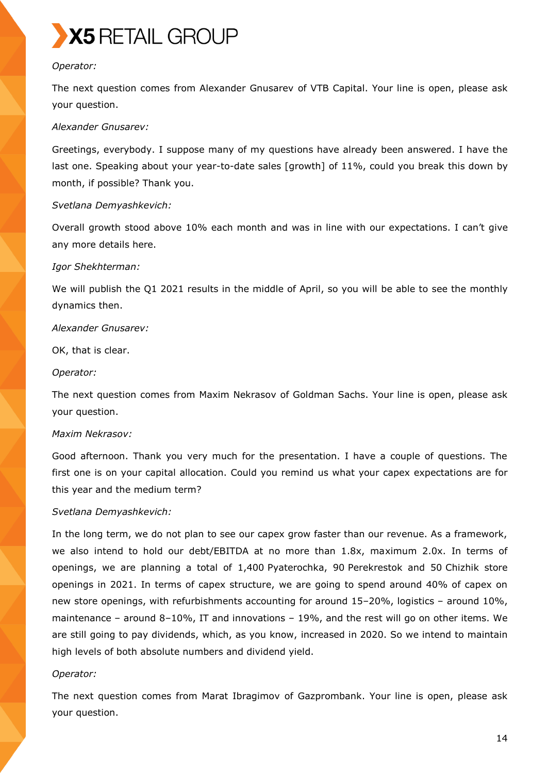

#### *Operator:*

The next question comes from Alexander Gnusarev of VTB Capital. Your line is open, please ask your question.

#### *Alexander Gnusarev:*

Greetings, everybody. I suppose many of my questions have already been answered. I have the last one. Speaking about your year-to-date sales [growth] of 11%, could you break this down by month, if possible? Thank you.

## *Svetlana Demyashkevich:*

Overall growth stood above 10% each month and was in line with our expectations. I can't give any more details here.

#### *Igor Shekhterman:*

We will publish the Q1 2021 results in the middle of April, so you will be able to see the monthly dynamics then.

#### *Alexander Gnusarev:*

OK, that is clear.

#### *Operator:*

The next question comes from Maxim Nekrasov of Goldman Sachs. Your line is open, please ask your question.

#### *Maxim Nekrasov:*

Good afternoon. Thank you very much for the presentation. I have a couple of questions. The first one is on your capital allocation. Could you remind us what your capex expectations are for this year and the medium term?

## *Svetlana Demyashkevich:*

In the long term, we do not plan to see our capex grow faster than our revenue. As a framework, we also intend to hold our debt/EBITDA at no more than 1.8x, maximum 2.0x. In terms of openings, we are planning a total of 1,400 Pyaterochka, 90 Perekrestok and 50 Chizhik store openings in 2021. In terms of capex structure, we are going to spend around 40% of capex on new store openings, with refurbishments accounting for around 15–20%, logistics – around 10%, maintenance – around 8–10%, IT and innovations – 19%, and the rest will go on other items. We are still going to pay dividends, which, as you know, increased in 2020. So we intend to maintain high levels of both absolute numbers and dividend yield.

## *Operator:*

The next question comes from Marat Ibragimov of Gazprombank. Your line is open, please ask your question.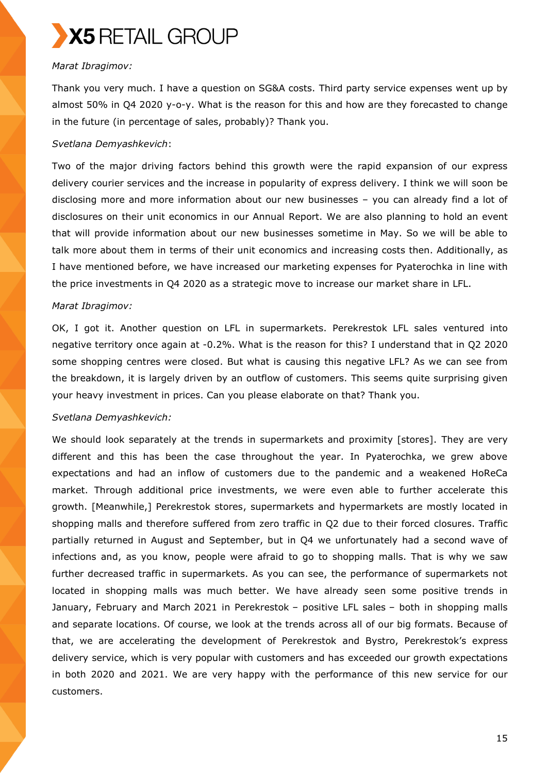

#### *Marat Ibragimov:*

Thank you very much. I have a question on SG&A costs. Third party service expenses went up by almost 50% in Q4 2020 y-o-y. What is the reason for this and how are they forecasted to change in the future (in percentage of sales, probably)? Thank you.

# *Svetlana Demyashkevich*:

Two of the major driving factors behind this growth were the rapid expansion of our express delivery courier services and the increase in popularity of express delivery. I think we will soon be disclosing more and more information about our new businesses – you can already find a lot of disclosures on their unit economics in our Annual Report. We are also planning to hold an event that will provide information about our new businesses sometime in May. So we will be able to talk more about them in terms of their unit economics and increasing costs then. Additionally, as I have mentioned before, we have increased our marketing expenses for Pyaterochka in line with the price investments in Q4 2020 as a strategic move to increase our market share in LFL.

## *Marat Ibragimov:*

OK, I got it. Another question on LFL in supermarkets. Perekrestok LFL sales ventured into negative territory once again at -0.2%. What is the reason for this? I understand that in Q2 2020 some shopping centres were closed. But what is causing this negative LFL? As we can see from the breakdown, it is largely driven by an outflow of customers. This seems quite surprising given your heavy investment in prices. Can you please elaborate on that? Thank you.

## *Svetlana Demyashkevich:*

We should look separately at the trends in supermarkets and proximity [stores]. They are very different and this has been the case throughout the year. In Pyaterochka, we grew above expectations and had an inflow of customers due to the pandemic and a weakened HoReCa market. Through additional price investments, we were even able to further accelerate this growth. [Meanwhile,] Perekrestok stores, supermarkets and hypermarkets are mostly located in shopping malls and therefore suffered from zero traffic in Q2 due to their forced closures. Traffic partially returned in August and September, but in Q4 we unfortunately had a second wave of infections and, as you know, people were afraid to go to shopping malls. That is why we saw further decreased traffic in supermarkets. As you can see, the performance of supermarkets not located in shopping malls was much better. We have already seen some positive trends in January, February and March 2021 in Perekrestok – positive LFL sales – both in shopping malls and separate locations. Of course, we look at the trends across all of our big formats. Because of that, we are accelerating the development of Perekrestok and Bystro, Perekrestok's express delivery service, which is very popular with customers and has exceeded our growth expectations in both 2020 and 2021. We are very happy with the performance of this new service for our customers.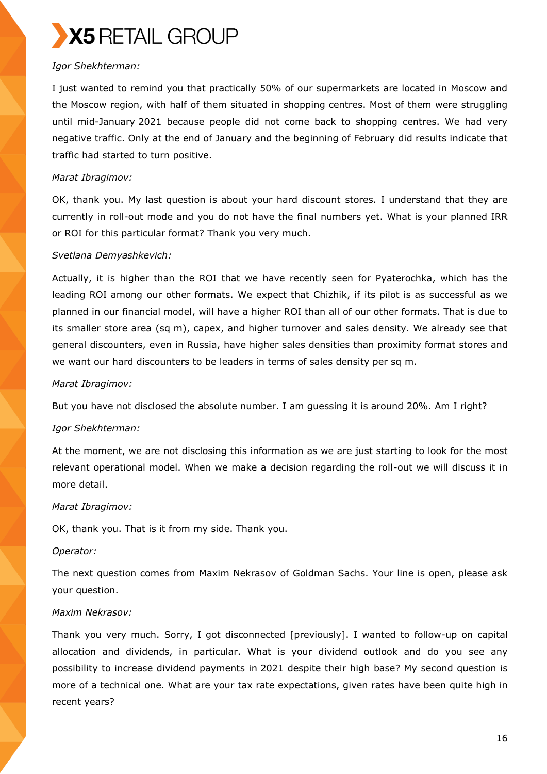

# *Igor Shekhterman:*

I just wanted to remind you that practically 50% of our supermarkets are located in Moscow and the Moscow region, with half of them situated in shopping centres. Most of them were struggling until mid-January 2021 because people did not come back to shopping centres. We had very negative traffic. Only at the end of January and the beginning of February did results indicate that traffic had started to turn positive.

# *Marat Ibragimov:*

OK, thank you. My last question is about your hard discount stores. I understand that they are currently in roll-out mode and you do not have the final numbers yet. What is your planned IRR or ROI for this particular format? Thank you very much.

# *Svetlana Demyashkevich:*

Actually, it is higher than the ROI that we have recently seen for Pyaterochka, which has the leading ROI among our other formats. We expect that Chizhik, if its pilot is as successful as we planned in our financial model, will have a higher ROI than all of our other formats. That is due to its smaller store area (sq m), capex, and higher turnover and sales density. We already see that general discounters, even in Russia, have higher sales densities than proximity format stores and we want our hard discounters to be leaders in terms of sales density per sq m.

## *Marat Ibragimov:*

But you have not disclosed the absolute number. I am guessing it is around 20%. Am I right?

## *Igor Shekhterman:*

At the moment, we are not disclosing this information as we are just starting to look for the most relevant operational model. When we make a decision regarding the roll-out we will discuss it in more detail.

## *Marat Ibragimov:*

OK, thank you. That is it from my side. Thank you.

## *Operator:*

The next question comes from Maxim Nekrasov of Goldman Sachs. Your line is open, please ask your question.

## *Maxim Nekrasov:*

Thank you very much. Sorry, I got disconnected [previously]. I wanted to follow-up on capital allocation and dividends, in particular. What is your dividend outlook and do you see any possibility to increase dividend payments in 2021 despite their high base? My second question is more of a technical one. What are your tax rate expectations, given rates have been quite high in recent years?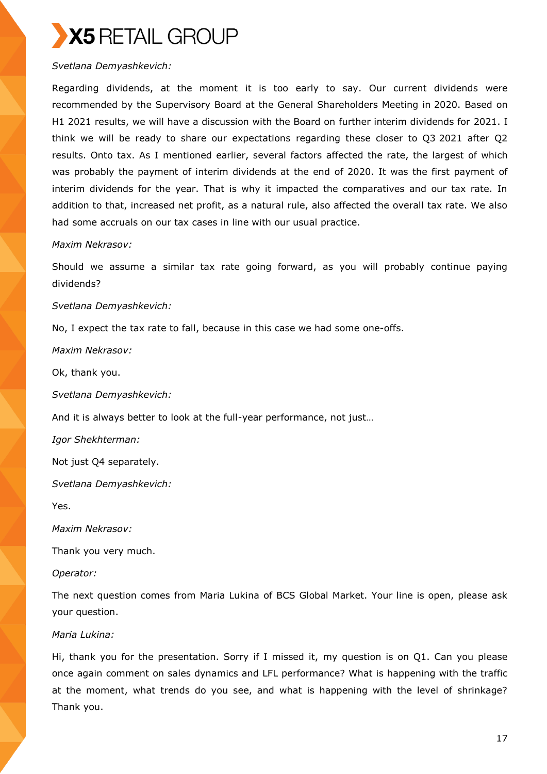

#### *Svetlana Demyashkevich:*

Regarding dividends, at the moment it is too early to say. Our current dividends were recommended by the Supervisory Board at the General Shareholders Meeting in 2020. Based on H1 2021 results, we will have a discussion with the Board on further interim dividends for 2021. I think we will be ready to share our expectations regarding these closer to Q3 2021 after Q2 results. Onto tax. As I mentioned earlier, several factors affected the rate, the largest of which was probably the payment of interim dividends at the end of 2020. It was the first payment of interim dividends for the year. That is why it impacted the comparatives and our tax rate. In addition to that, increased net profit, as a natural rule, also affected the overall tax rate. We also had some accruals on our tax cases in line with our usual practice.

#### *Maxim Nekrasov:*

Should we assume a similar tax rate going forward, as you will probably continue paying dividends?

*Svetlana Demyashkevich:* 

No, I expect the tax rate to fall, because in this case we had some one-offs.

*Maxim Nekrasov:* 

Ok, thank you.

*Svetlana Demyashkevich:* 

And it is always better to look at the full-year performance, not just…

*Igor Shekhterman:* 

Not just Q4 separately.

*Svetlana Demyashkevich:*

Yes.

*Maxim Nekrasov:* 

Thank you very much.

#### *Operator:*

The next question comes from Maria Lukina of BCS Global Market. Your line is open, please ask your question.

#### *Maria Lukina:*

Hi, thank you for the presentation. Sorry if I missed it, my question is on Q1. Can you please once again comment on sales dynamics and LFL performance? What is happening with the traffic at the moment, what trends do you see, and what is happening with the level of shrinkage? Thank you.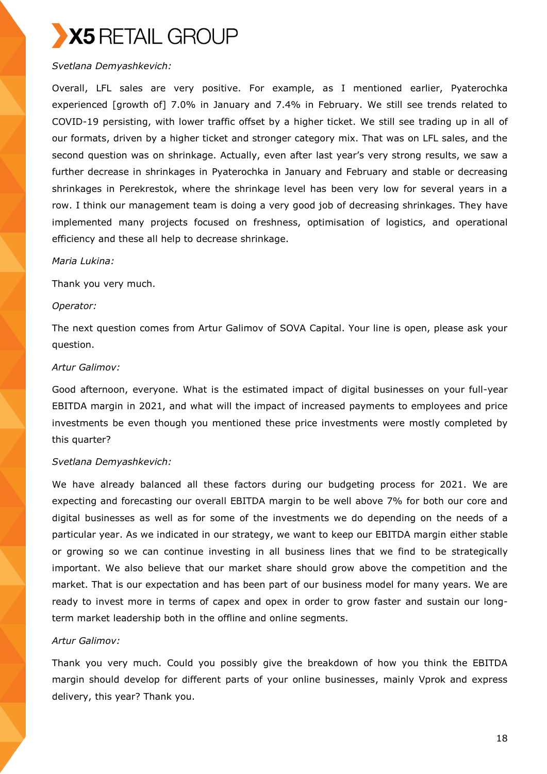# *Svetlana Demyashkevich:*

Overall, LFL sales are very positive. For example, as I mentioned earlier, Pyaterochka experienced [growth of] 7.0% in January and 7.4% in February. We still see trends related to COVID-19 persisting, with lower traffic offset by a higher ticket. We still see trading up in all of our formats, driven by a higher ticket and stronger category mix. That was on LFL sales, and the second question was on shrinkage. Actually, even after last year's very strong results, we saw a further decrease in shrinkages in Pyaterochka in January and February and stable or decreasing shrinkages in Perekrestok, where the shrinkage level has been very low for several years in a row. I think our management team is doing a very good job of decreasing shrinkages. They have implemented many projects focused on freshness, optimisation of logistics, and operational efficiency and these all help to decrease shrinkage.

## *Maria Lukina:*

Thank you very much.

## *Operator:*

The next question comes from Artur Galimov of SOVA Capital. Your line is open, please ask your question.

#### *Artur Galimov:*

Good afternoon, everyone. What is the estimated impact of digital businesses on your full-year EBITDA margin in 2021, and what will the impact of increased payments to employees and price investments be even though you mentioned these price investments were mostly completed by this quarter?

## *Svetlana Demyashkevich:*

We have already balanced all these factors during our budgeting process for 2021. We are expecting and forecasting our overall EBITDA margin to be well above 7% for both our core and digital businesses as well as for some of the investments we do depending on the needs of a particular year. As we indicated in our strategy, we want to keep our EBITDA margin either stable or growing so we can continue investing in all business lines that we find to be strategically important. We also believe that our market share should grow above the competition and the market. That is our expectation and has been part of our business model for many years. We are ready to invest more in terms of capex and opex in order to grow faster and sustain our longterm market leadership both in the offline and online segments.

## *Artur Galimov:*

Thank you very much. Could you possibly give the breakdown of how you think the EBITDA margin should develop for different parts of your online businesses, mainly Vprok and express delivery, this year? Thank you.